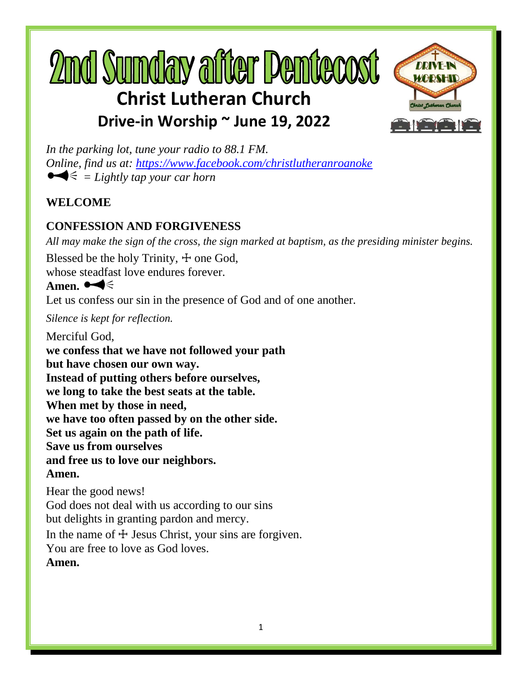# **2md Sumday after Dentecost Christ Lutheran Church**



**Drive-in Worship ~ June 19, 2022**

*In the parking lot, tune your radio to 88.1 FM. Online, find us at:<https://www.facebook.com/christlutheranroanoke>*  $\blacktriangleright$  = Lightly tap your car horn

# **WELCOME**

# **CONFESSION AND FORGIVENESS**

*All may make the sign of the cross, the sign marked at baptism, as the presiding minister begins.*

Blessed be the holy Trinity,  $\pm$  one God,

whose steadfast love endures forever.

# Amen.  $\blacktriangleleft \leq$

Let us confess our sin in the presence of God and of one another.

*Silence is kept for reflection.*

Merciful God, **we confess that we have not followed your path but have chosen our own way. Instead of putting others before ourselves, we long to take the best seats at the table. When met by those in need, we have too often passed by on the other side. Set us again on the path of life. Save us from ourselves and free us to love our neighbors. Amen.**

Hear the good news! God does not deal with us according to our sins but delights in granting pardon and mercy. In the name of  $\pm$  Jesus Christ, your sins are forgiven. You are free to love as God loves. **Amen.**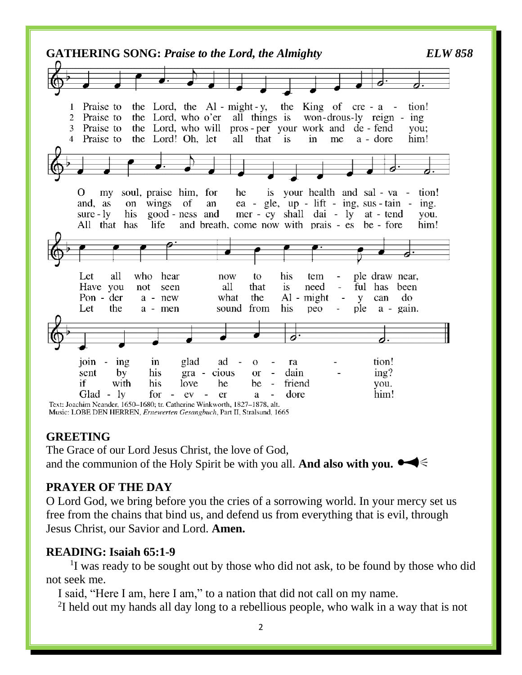

#### **GREETING**

The Grace of our Lord Jesus Christ, the love of God, and the communion of the Holy Spirit be with you all. **And also with you.**

## **PRAYER OF THE DAY**

O Lord God, we bring before you the cries of a sorrowing world. In your mercy set us free from the chains that bind us, and defend us from everything that is evil, through Jesus Christ, our Savior and Lord. **Amen.**

## **READING: Isaiah 65:1-9**

<sup>1</sup>I was ready to be sought out by those who did not ask, to be found by those who did not seek me.

I said, "Here I am, here I am," to a nation that did not call on my name.

 $2I$  held out my hands all day long to a rebellious people, who walk in a way that is not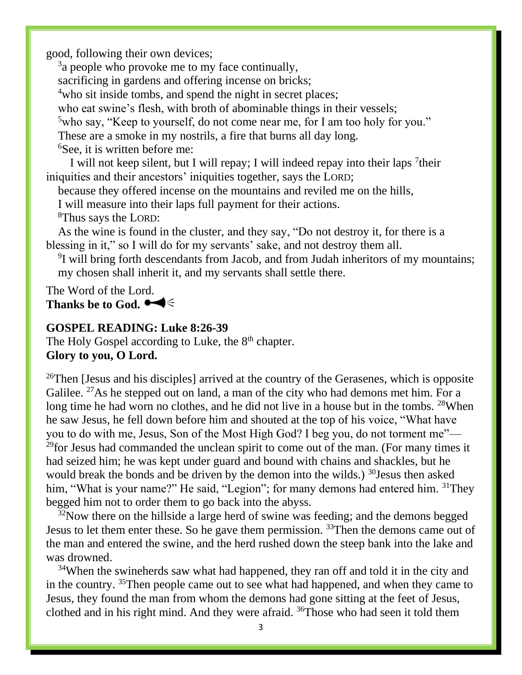good, following their own devices;

 $3a$  people who provoke me to my face continually, sacrificing in gardens and offering incense on bricks; <sup>4</sup>who sit inside tombs, and spend the night in secret places; who eat swine's flesh, with broth of abominable things in their vessels; <sup>5</sup> who say, "Keep to yourself, do not come near me, for I am too holy for you." These are a smoke in my nostrils, a fire that burns all day long. <sup>6</sup>See, it is written before me:

I will not keep silent, but I will repay; I will indeed repay into their laps <sup>7</sup>their iniquities and their ancestors' iniquities together, says the LORD;

because they offered incense on the mountains and reviled me on the hills,

I will measure into their laps full payment for their actions.

<sup>8</sup>Thus says the LORD:

As the wine is found in the cluster, and they say, "Do not destroy it, for there is a blessing in it," so I will do for my servants' sake, and not destroy them all.

<sup>9</sup>I will bring forth descendants from Jacob, and from Judah inheritors of my mountains; my chosen shall inherit it, and my servants shall settle there.

The Word of the Lord. Thanks be to God.  $\blacktriangleleft \leq$ 

#### **GOSPEL READING: Luke 8:26-39**

The Holy Gospel according to Luke, the 8<sup>th</sup> chapter. **Glory to you, O Lord.**

<sup>26</sup>Then [Jesus and his disciples] arrived at the country of the Gerasenes, which is opposite Galilee.  $27$ As he stepped out on land, a man of the city who had demons met him. For a long time he had worn no clothes, and he did not live in a house but in the tombs. <sup>28</sup>When he saw Jesus, he fell down before him and shouted at the top of his voice, "What have you to do with me, Jesus, Son of the Most High God? I beg you, do not torment me"—  $29$ for Jesus had commanded the unclean spirit to come out of the man. (For many times it had seized him; he was kept under guard and bound with chains and shackles, but he would break the bonds and be driven by the demon into the wilds.) <sup>30</sup>Jesus then asked him, "What is your name?" He said, "Legion"; for many demons had entered him. <sup>31</sup>They begged him not to order them to go back into the abyss.

 $32$ Now there on the hillside a large herd of swine was feeding; and the demons begged Jesus to let them enter these. So he gave them permission. <sup>33</sup>Then the demons came out of the man and entered the swine, and the herd rushed down the steep bank into the lake and was drowned.

<sup>34</sup>When the swineherds saw what had happened, they ran off and told it in the city and in the country. <sup>35</sup>Then people came out to see what had happened, and when they came to Jesus, they found the man from whom the demons had gone sitting at the feet of Jesus, clothed and in his right mind. And they were afraid. <sup>36</sup>Those who had seen it told them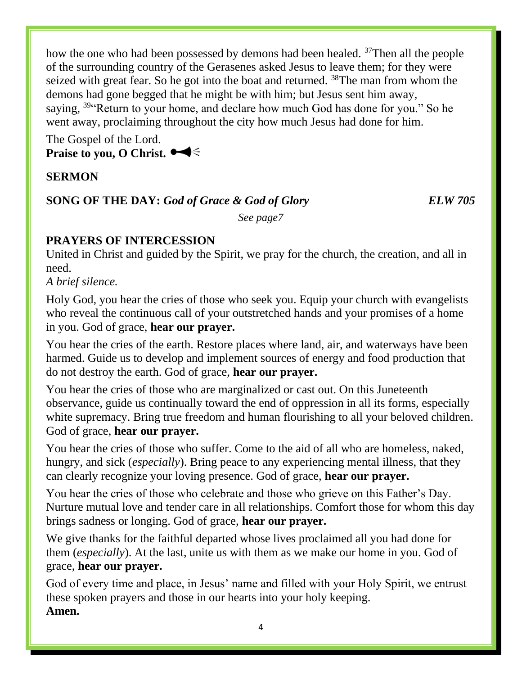how the one who had been possessed by demons had been healed. <sup>37</sup>Then all the people of the surrounding country of the Gerasenes asked Jesus to leave them; for they were seized with great fear. So he got into the boat and returned. <sup>38</sup>The man from whom the demons had gone begged that he might be with him; but Jesus sent him away, saying, <sup>39"</sup>Return to your home, and declare how much God has done for you." So he went away, proclaiming throughout the city how much Jesus had done for him.

The Gospel of the Lord. **Praise to you, O Christ.**

# **SERMON**

## **SONG OF THE DAY:** God of Grace & God of Glory **ELW 705**

*See page7*

# **PRAYERS OF INTERCESSION**

United in Christ and guided by the Spirit, we pray for the church, the creation, and all in need.

*A brief silence.*

Holy God, you hear the cries of those who seek you. Equip your church with evangelists who reveal the continuous call of your outstretched hands and your promises of a home in you. God of grace, **hear our prayer.**

You hear the cries of the earth. Restore places where land, air, and waterways have been harmed. Guide us to develop and implement sources of energy and food production that do not destroy the earth. God of grace, **hear our prayer.**

You hear the cries of those who are marginalized or cast out. On this Juneteenth observance, guide us continually toward the end of oppression in all its forms, especially white supremacy. Bring true freedom and human flourishing to all your beloved children. God of grace, **hear our prayer.**

You hear the cries of those who suffer. Come to the aid of all who are homeless, naked, hungry, and sick (*especially*). Bring peace to any experiencing mental illness, that they can clearly recognize your loving presence. God of grace, **hear our prayer.**

You hear the cries of those who celebrate and those who grieve on this Father's Day. Nurture mutual love and tender care in all relationships. Comfort those for whom this day brings sadness or longing. God of grace, **hear our prayer.**

We give thanks for the faithful departed whose lives proclaimed all you had done for them (*especially*). At the last, unite us with them as we make our home in you. God of grace, **hear our prayer.**

God of every time and place, in Jesus' name and filled with your Holy Spirit, we entrust these spoken prayers and those in our hearts into your holy keeping. **Amen.**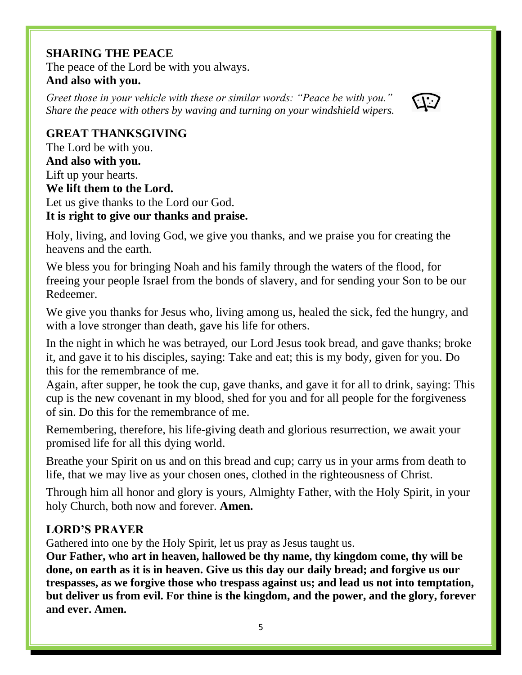# **SHARING THE PEACE**

The peace of the Lord be with you always. **And also with you.**

*Greet those in your vehicle with these or similar words: "Peace be with you." Share the peace with others by waving and turning on your windshield wipers.* 



# **GREAT THANKSGIVING**

The Lord be with you. **And also with you.** Lift up your hearts. **We lift them to the Lord.** Let us give thanks to the Lord our God. **It is right to give our thanks and praise.**

Holy, living, and loving God, we give you thanks, and we praise you for creating the heavens and the earth.

We bless you for bringing Noah and his family through the waters of the flood, for freeing your people Israel from the bonds of slavery, and for sending your Son to be our Redeemer.

We give you thanks for Jesus who, living among us, healed the sick, fed the hungry, and with a love stronger than death, gave his life for others.

In the night in which he was betrayed, our Lord Jesus took bread, and gave thanks; broke it, and gave it to his disciples, saying: Take and eat; this is my body, given for you. Do this for the remembrance of me.

Again, after supper, he took the cup, gave thanks, and gave it for all to drink, saying: This cup is the new covenant in my blood, shed for you and for all people for the forgiveness of sin. Do this for the remembrance of me.

Remembering, therefore, his life-giving death and glorious resurrection, we await your promised life for all this dying world.

Breathe your Spirit on us and on this bread and cup; carry us in your arms from death to life, that we may live as your chosen ones, clothed in the righteousness of Christ.

Through him all honor and glory is yours, Almighty Father, with the Holy Spirit, in your holy Church, both now and forever. **Amen.**

## **LORD'S PRAYER**

Gathered into one by the Holy Spirit, let us pray as Jesus taught us.

**Our Father, who art in heaven, hallowed be thy name, thy kingdom come, thy will be done, on earth as it is in heaven. Give us this day our daily bread; and forgive us our trespasses, as we forgive those who trespass against us; and lead us not into temptation, but deliver us from evil. For thine is the kingdom, and the power, and the glory, forever and ever. Amen.**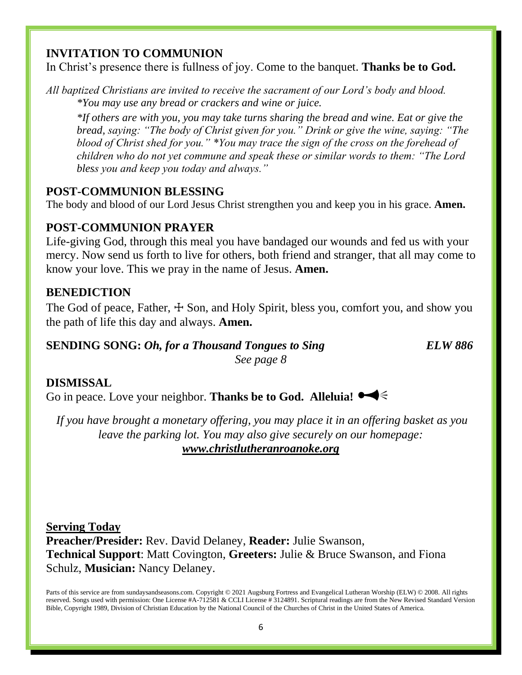# **INVITATION TO COMMUNION**

In Christ's presence there is fullness of joy. Come to the banquet. **Thanks be to God.**

*All baptized Christians are invited to receive the sacrament of our Lord's body and blood. \*You may use any bread or crackers and wine or juice.* 

*\*If others are with you, you may take turns sharing the bread and wine. Eat or give the bread, saying: "The body of Christ given for you." Drink or give the wine, saying: "The blood of Christ shed for you." \*You may trace the sign of the cross on the forehead of children who do not yet commune and speak these or similar words to them: "The Lord bless you and keep you today and always."*

# **POST-COMMUNION BLESSING**

The body and blood of our Lord Jesus Christ strengthen you and keep you in his grace. **Amen.**

# **POST-COMMUNION PRAYER**

Life-giving God, through this meal you have bandaged our wounds and fed us with your mercy. Now send us forth to live for others, both friend and stranger, that all may come to know your love. This we pray in the name of Jesus. **Amen.**

## **BENEDICTION**

The God of peace, Father,  $\pm$  Son, and Holy Spirit, bless you, comfort you, and show you the path of life this day and always. **Amen.**

#### **SENDING SONG:** *Oh, for a Thousand Tongues to Sing ELW 886 See page 8*

## **DISMISSAL**

Go in peace. Love your neighbor. **Thanks be to God. Alleluia!** 

*If you have brought a monetary offering, you may place it in an offering basket as you leave the parking lot. You may also give securely on our homepage: [www.christlutheranroanoke.org](http://www.christlutheranroanoke.org/)*

**Serving Today Preacher/Presider:** Rev. David Delaney, **Reader:** Julie Swanson, **Technical Support**: Matt Covington, **Greeters:** Julie & Bruce Swanson, and Fiona Schulz, **Musician:** Nancy Delaney.

Parts of this service are from sundaysandseasons.com. Copyright © 2021 Augsburg Fortress and Evangelical Lutheran Worship (ELW) © 2008. All rights reserved. Songs used with permission: One License #A-712581 & CCLI License # 3124891. Scriptural readings are from the New Revised Standard Version Bible, Copyright 1989, Division of Christian Education by the National Council of the Churches of Christ in the United States of America.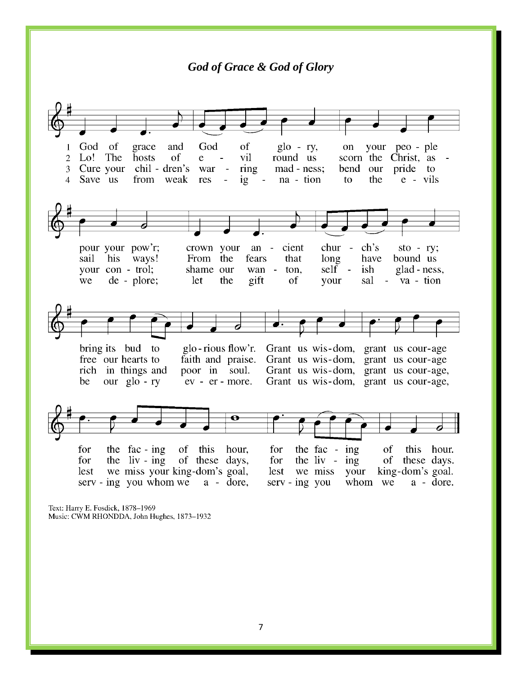*God of Grace & God of Glory*God God of grace and of  $g$ lo - ry, on your peo - ple  $\mathbf{1}$ scorn the Christ, as  $\overline{2}$ Lo! The hosts of vil round us e =  $\blacksquare$ Cure your chil - dren's war ring mad - ness; pride to  $\overline{3}$ bend our Save us from weak  $ig$ na - tion e - vils  $\boldsymbol{\Lambda}$ res  $\sim$   $\equiv$ to the  $ch's$ pour your pow'r; crown your  $an$ cient chur  $sto - ry;$ sail his ways! From the fears that long have bound us your con - trol; shame our wan self ish glad - ness, ton. we de - plore; let the gift of your sal va - tion  $\sim$ bring its bud to glo-rious flow'r. Grant us wis-dom, grant us cour-age free our hearts to faith and praise. Grant us wis-dom, grant us cour-age rich in things and poor in soul. Grant us wis-dom, grant us cour-age, be our  $g$ lo - ry ev - er - more. Grant us wis-dom, grant us cour-age, for the fac-ing of this for the fac - ing this hour. hour, of the  $\|$ iv - ing of these days, the  $\mathbf{liv}$  - ing of these days. for for we miss your king-dom's goal, lest we miss your king-dom's goal. lest serv - ing you whom we a - dore,  $s$ erv - ing you whom we a - dore.

Text: Harry E. Fosdick, 1878-1969 Music: CWM RHONDDA, John Hughes, 1873-1932